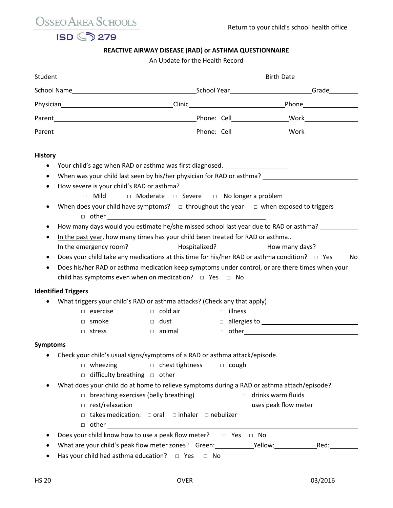OSSEO AREA SCHOOLS



## **REACTIVE AIRWAY DISEASE (RAD) or ASTHMA QUESTIONNAIRE**

An Update for the Health Record

|                 |                                                                                                               | Physician Physician Phone Phone Phone Phone Phone Phone Phone Phone Phone Phone Phone Phone Phone Phone Phone Phone Phone Phone Phone Phone Phone Phone Phone Phone Phone Phone Phone Phone Phone Phone Phone Phone Phone Phon |                                 |  |                |                             |  |      |  |  |
|-----------------|---------------------------------------------------------------------------------------------------------------|--------------------------------------------------------------------------------------------------------------------------------------------------------------------------------------------------------------------------------|---------------------------------|--|----------------|-----------------------------|--|------|--|--|
|                 |                                                                                                               |                                                                                                                                                                                                                                |                                 |  |                |                             |  |      |  |  |
|                 |                                                                                                               |                                                                                                                                                                                                                                |                                 |  |                |                             |  |      |  |  |
| <b>History</b>  |                                                                                                               |                                                                                                                                                                                                                                |                                 |  |                |                             |  |      |  |  |
|                 |                                                                                                               | Your child's age when RAD or asthma was first diagnosed. _______________________                                                                                                                                               |                                 |  |                |                             |  |      |  |  |
| $\bullet$       | When was your child last seen by his/her physician for RAD or asthma?                                         |                                                                                                                                                                                                                                |                                 |  |                |                             |  |      |  |  |
| ٠               |                                                                                                               | How severe is your child's RAD or asthma?                                                                                                                                                                                      |                                 |  |                |                             |  |      |  |  |
|                 |                                                                                                               | □ Mild □ Moderate □ Severe □ No longer a problem                                                                                                                                                                               |                                 |  |                |                             |  |      |  |  |
| $\bullet$       |                                                                                                               | When does your child have symptoms? $\Box$ throughout the year $\Box$ when exposed to triggers                                                                                                                                 |                                 |  |                |                             |  |      |  |  |
| ٠               |                                                                                                               | How many days would you estimate he/she missed school last year due to RAD or asthma?                                                                                                                                          |                                 |  |                |                             |  |      |  |  |
| ٠               | In the past year, how many times has your child been treated for RAD or asthma                                |                                                                                                                                                                                                                                |                                 |  |                |                             |  |      |  |  |
|                 | In the emergency room? ________________________Hospitalized? ___________________How many days? ______________ |                                                                                                                                                                                                                                |                                 |  |                |                             |  |      |  |  |
| ٠               |                                                                                                               | Does your child take any medications at this time for his/her RAD or asthma condition? $\Box$ Yes $\Box$ No                                                                                                                    |                                 |  |                |                             |  |      |  |  |
| $\bullet$       |                                                                                                               | Does his/her RAD or asthma medication keep symptoms under control, or are there times when your                                                                                                                                |                                 |  |                |                             |  |      |  |  |
|                 |                                                                                                               | child has symptoms even when on medication? $\Box$ Yes $\Box$ No                                                                                                                                                               |                                 |  |                |                             |  |      |  |  |
|                 | <b>Identified Triggers</b>                                                                                    |                                                                                                                                                                                                                                |                                 |  |                |                             |  |      |  |  |
|                 |                                                                                                               | What triggers your child's RAD or asthma attacks? (Check any that apply)                                                                                                                                                       |                                 |  |                |                             |  |      |  |  |
|                 |                                                                                                               | $\Box$ exercise                                                                                                                                                                                                                | $\Box$ cold air                 |  | $\Box$ illness |                             |  |      |  |  |
|                 |                                                                                                               | $\Box$ smoke                                                                                                                                                                                                                   | $\Box$ dust                     |  |                | $\Box$ allergies to $\Box$  |  |      |  |  |
|                 |                                                                                                               | $\Box$ stress                                                                                                                                                                                                                  | $\Box$ animal                   |  |                |                             |  |      |  |  |
| <b>Symptoms</b> |                                                                                                               |                                                                                                                                                                                                                                |                                 |  |                |                             |  |      |  |  |
|                 |                                                                                                               | Check your child's usual signs/symptoms of a RAD or asthma attack/episode.                                                                                                                                                     |                                 |  |                |                             |  |      |  |  |
|                 |                                                                                                               | □ wheezing<br>□ chest tightness<br>□ cough                                                                                                                                                                                     |                                 |  |                |                             |  |      |  |  |
|                 |                                                                                                               | $\Box$ difficulty breathing $\Box$ other $\Box$                                                                                                                                                                                |                                 |  |                |                             |  |      |  |  |
|                 |                                                                                                               | What does your child do at home to relieve symptoms during a RAD or asthma attach/episode?                                                                                                                                     |                                 |  |                |                             |  |      |  |  |
|                 |                                                                                                               | $\Box$ breathing exercises (belly breathing)                                                                                                                                                                                   |                                 |  |                | $\Box$ drinks warm fluids   |  |      |  |  |
|                 |                                                                                                               | $\Box$ rest/relaxation                                                                                                                                                                                                         |                                 |  |                | $\Box$ uses peak flow meter |  |      |  |  |
|                 |                                                                                                               | $\Box$ takes medication: $\Box$ oral                                                                                                                                                                                           | $\Box$ inhaler $\Box$ nebulizer |  |                |                             |  |      |  |  |
|                 |                                                                                                               |                                                                                                                                                                                                                                |                                 |  |                |                             |  |      |  |  |
|                 |                                                                                                               | Does your child know how to use a peak flow meter? $\Box$ Yes $\Box$ No                                                                                                                                                        |                                 |  |                |                             |  |      |  |  |
|                 |                                                                                                               | What are your child's peak flow meter zones? Green: ____________________________                                                                                                                                               |                                 |  |                |                             |  | Red: |  |  |
|                 |                                                                                                               | Has your child had asthma education? $\Box$ Yes $\Box$ No                                                                                                                                                                      |                                 |  |                |                             |  |      |  |  |
|                 |                                                                                                               |                                                                                                                                                                                                                                |                                 |  |                |                             |  |      |  |  |